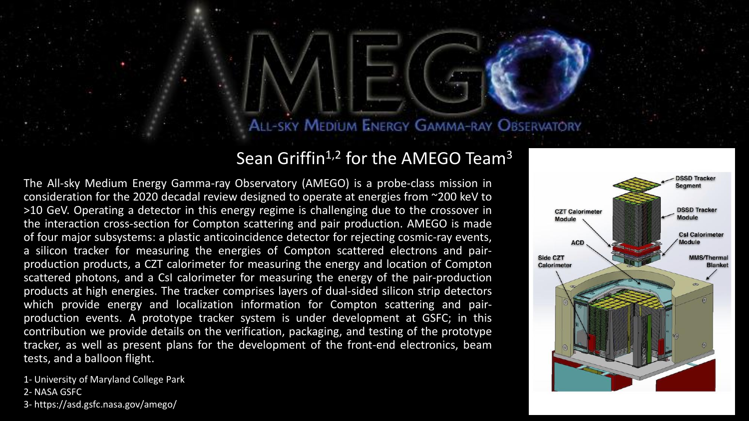# ALL-SKY MEDIUM ENERGY GAMMA-RAY OBSERVATORY

# Sean Griffin<sup>1,2</sup> for the AMEGO Team<sup>3</sup>

The All-sky Medium Energy Gamma-ray Observatory (AMEGO) is a probe-class mission in consideration for the 2020 decadal review designed to operate at energies from ~200 keV to >10 GeV. Operating a detector in this energy regime is challenging due to the crossover in the interaction cross-section for Compton scattering and pair production. AMEGO is made of four major subsystems: a plastic anticoincidence detector for rejecting cosmic-ray events, a silicon tracker for measuring the energies of Compton scattered electrons and pairproduction products, a CZT calorimeter for measuring the energy and location of Compton scattered photons, and a CsI calorimeter for measuring the energy of the pair-production products at high energies. The tracker comprises layers of dual-sided silicon strip detectors which provide energy and localization information for Compton scattering and pairproduction events. A prototype tracker system is under development at GSFC; in this contribution we provide details on the verification, packaging, and testing of the prototype tracker, as well as present plans for the development of the front-end electronics, beam tests, and a balloon flight.

1- University of Maryland College Park 2- NASA GSFC 3- https://asd.gsfc.nasa.gov/amego/

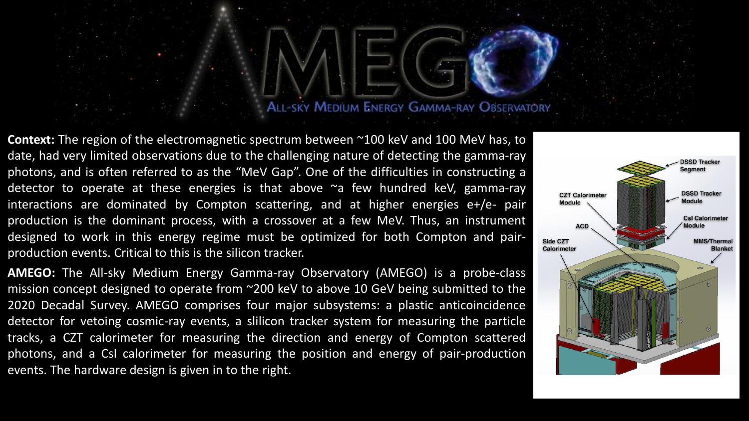### ALL-SKY MEDIUM ENERGY GAMMA-RAY OBSERVATORY

**Context:** The region of the electromagnetic spectrum between ~100 keV and 100 MeV has, to date, had very limited observations due to the challenging nature of detecting the gamma-ray photons, and is often referred to as the "MeV Gap". One of the difficulties in constructing a detector to operate at these energies is that above  $\sim$  few hundred keV, gamma-ray interactions are dominated by Compton scattering, and at higher energies e+/e- pair production is the dominant process, with a crossover at a few MeV. Thus, an instrument designed to work in this energy regime must be optimized for both Compton and pairproduction events. Critical to this is the silicon tracker.

**AMEGO:** The All-sky Medium Energy Gamma-ray Observatory (AMEGO) is a probe-class mission concept designed to operate from ~200 keV to above 10 GeV being submitted to the 2020 Decadal Survey. AMEGO comprises four major subsystems: a plastic anticoincidence detector for vetoing cosmic-ray events, a slilicon tracker system for measuring the particle tracks, a CZT calorimeter for measuring the direction and energy of Compton scattered photons, and a CsI calorimeter for measuring the position and energy of pair-production events. The hardware design is given in to the right.

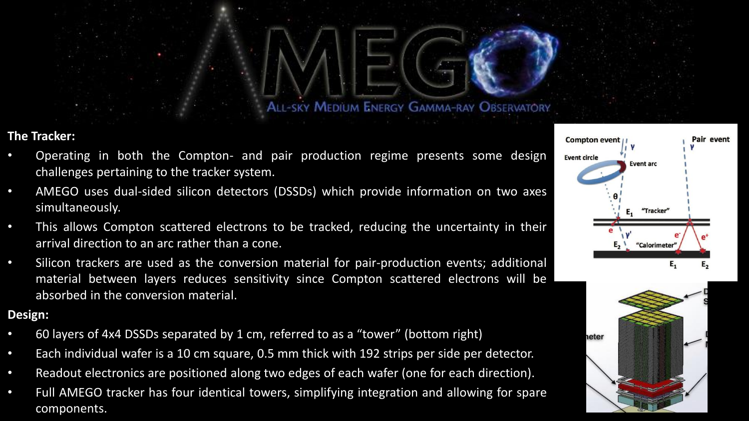**ALL-SKY MEDIUM ENERGY GAMMA-RAY OBSERVATORY** 

#### **The Tracker:**

- Operating in both the Compton- and pair production regime presents some design challenges pertaining to the tracker system.
- AMEGO uses dual-sided silicon detectors (DSSDs) which provide information on two axes simultaneously.
- This allows Compton scattered electrons to be tracked, reducing the uncertainty in their arrival direction to an arc rather than a cone.
- Silicon trackers are used as the conversion material for pair-production events; additional material between layers reduces sensitivity since Compton scattered electrons will be absorbed in the conversion material.

#### **Design:**

- 60 layers of 4x4 DSSDs separated by 1 cm, referred to as a "tower" (bottom right)
- Each individual wafer is a 10 cm square, 0.5 mm thick with 192 strips per side per detector.
- Readout electronics are positioned along two edges of each wafer (one for each direction).
- Full AMEGO tracker has four identical towers, simplifying integration and allowing for spare components.